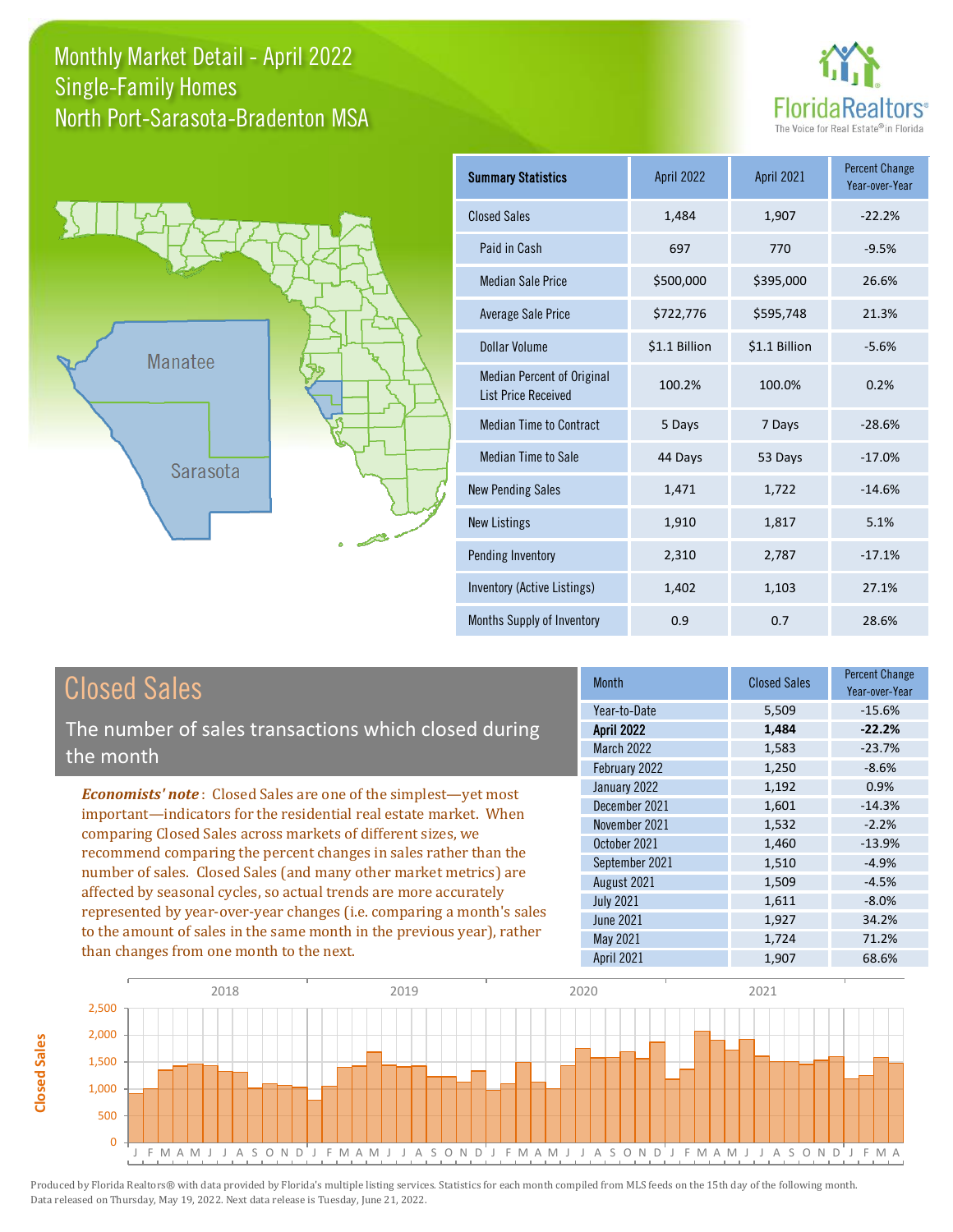#### Monthly Market Detail - April 2022 North Port-Sarasota-Bradenton MSA Single-Family Homes





| <b>Summary Statistics</b>                                       | <b>April 2022</b> | April 2021    | <b>Percent Change</b><br>Year-over-Year |
|-----------------------------------------------------------------|-------------------|---------------|-----------------------------------------|
| <b>Closed Sales</b>                                             | 1,484             | 1,907         | $-22.2%$                                |
| Paid in Cash                                                    | 697               | 770           | $-9.5%$                                 |
| <b>Median Sale Price</b>                                        | \$500,000         | \$395,000     | 26.6%                                   |
| <b>Average Sale Price</b>                                       | \$722,776         | \$595,748     | 21.3%                                   |
| Dollar Volume                                                   | \$1.1 Billion     | \$1.1 Billion | $-5.6%$                                 |
| <b>Median Percent of Original</b><br><b>List Price Received</b> | 100.2%            | 100.0%        | 0.2%                                    |
| <b>Median Time to Contract</b>                                  | 5 Days            | 7 Days        | $-28.6%$                                |
| Median Time to Sale                                             | 44 Days           | 53 Days       | $-17.0%$                                |
| <b>New Pending Sales</b>                                        | 1,471             | 1,722         | $-14.6%$                                |
| <b>New Listings</b>                                             | 1,910             | 1,817         | 5.1%                                    |
| Pending Inventory                                               | 2,310             | 2,787         | $-17.1%$                                |
| <b>Inventory (Active Listings)</b>                              | 1,402             | 1,103         | 27.1%                                   |
| Months Supply of Inventory                                      | 0.9               | 0.7           | 28.6%                                   |

**Closed Sales**

**Closed Sales** 

The number of sales transactions which closed during the month

*Economists' note* : Closed Sales are one of the simplest—yet most important—indicators for the residential real estate market. When comparing Closed Sales across markets of different sizes, we recommend comparing the percent changes in sales rather than the number of sales. Closed Sales (and many other market metrics) are affected by seasonal cycles, so actual trends are more accurately represented by year-over-year changes (i.e. comparing a month's sales to the amount of sales in the same month in the previous year), rather than changes from one month to the next.

| <b>Month</b>      | <b>Closed Sales</b> | <b>Percent Change</b><br>Year-over-Year |
|-------------------|---------------------|-----------------------------------------|
| Year-to-Date      | 5,509               | $-15.6%$                                |
| <b>April 2022</b> | 1,484               | $-22.2%$                                |
| <b>March 2022</b> | 1,583               | $-23.7%$                                |
| February 2022     | 1,250               | $-8.6%$                                 |
| January 2022      | 1,192               | 0.9%                                    |
| December 2021     | 1,601               | $-14.3%$                                |
| November 2021     | 1,532               | $-2.2%$                                 |
| October 2021      | 1,460               | $-13.9%$                                |
| September 2021    | 1,510               | $-4.9%$                                 |
| August 2021       | 1,509               | $-4.5%$                                 |
| <b>July 2021</b>  | 1,611               | $-8.0%$                                 |
| <b>June 2021</b>  | 1,927               | 34.2%                                   |
| May 2021          | 1,724               | 71.2%                                   |
| April 2021        | 1,907               | 68.6%                                   |

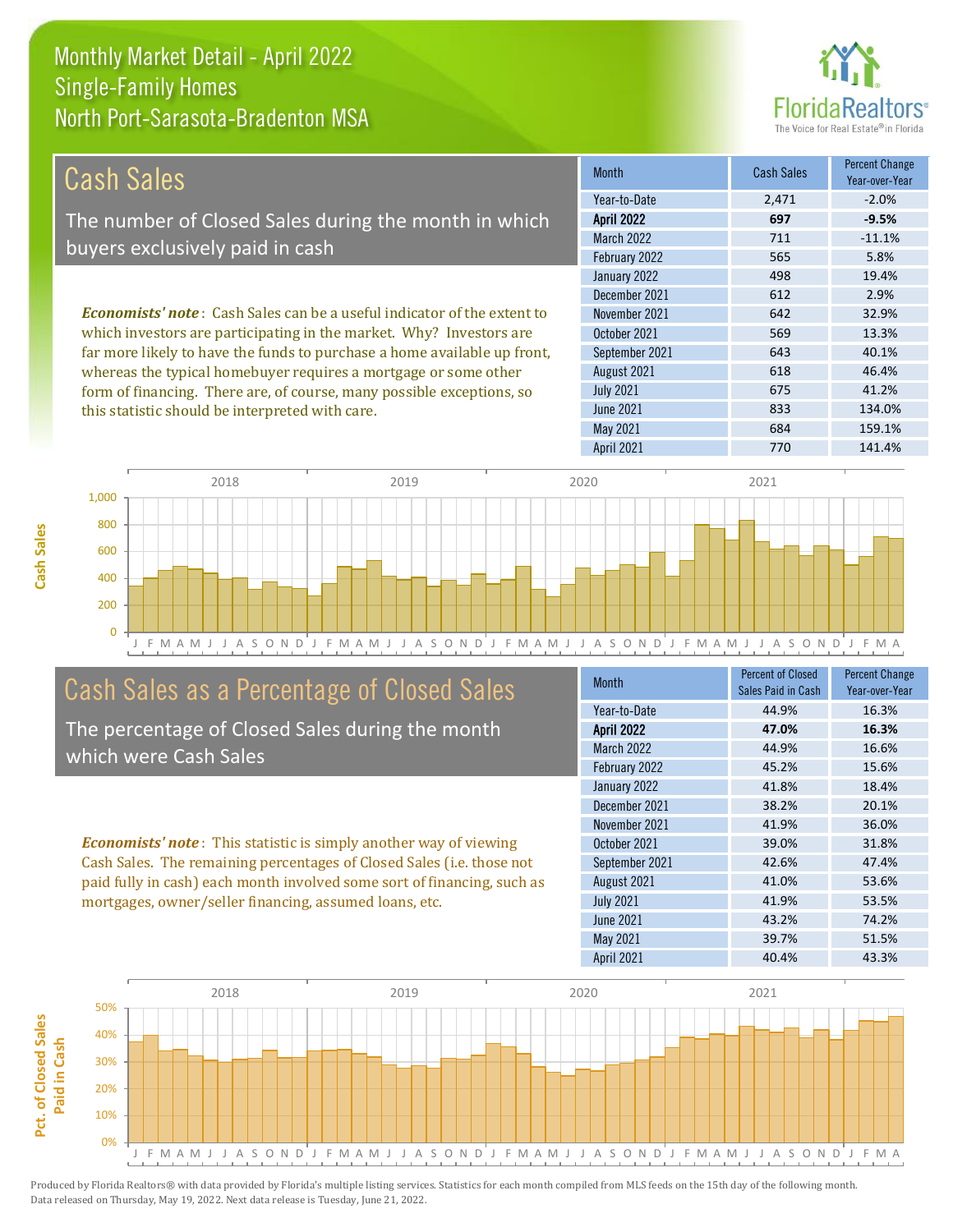

| Cash Sales                                                                     | <b>Month</b>      | <b>Cash Sales</b> | <b>Percent Change</b><br>Year-over-Year |
|--------------------------------------------------------------------------------|-------------------|-------------------|-----------------------------------------|
|                                                                                | Year-to-Date      | 2,471             | $-2.0%$                                 |
| The number of Closed Sales during the month in which                           | <b>April 2022</b> | 697               | $-9.5%$                                 |
| buyers exclusively paid in cash                                                | <b>March 2022</b> | 711               | $-11.1%$                                |
|                                                                                | February 2022     | 565               | 5.8%                                    |
|                                                                                | January 2022      | 498               | 19.4%                                   |
|                                                                                | December 2021     | 612               | 2.9%                                    |
| <b>Economists' note:</b> Cash Sales can be a useful indicator of the extent to | November 2021     | 642               | 32.9%                                   |
| which investors are participating in the market. Why? Investors are            | October 2021      | 569               | 13.3%                                   |
| far more likely to have the funds to purchase a home available up front,       | September 2021    | 643               | 40.1%                                   |
| whereas the typical homebuyer requires a mortgage or some other                | August 2021       | 618               | 46.4%                                   |
| form of financing. There are, of course, many possible exceptions, so          | <b>July 2021</b>  | 675               | 41.2%                                   |
| this statistic should be interpreted with care.                                | <b>June 2021</b>  | 833               | 134.0%                                  |



#### Cash Sales as a Percentage of Closed Sales

The percentage of Closed Sales during the month which were Cash Sales

*Economists' note* : This statistic is simply another way of viewing Cash Sales. The remaining percentages of Closed Sales (i.e. those not paid fully in cash) each month involved some sort of financing, such as mortgages, owner/seller financing, assumed loans, etc.

| <b>Month</b>      | <b>Percent of Closed</b> | <b>Percent Change</b> |
|-------------------|--------------------------|-----------------------|
|                   | Sales Paid in Cash       | Year-over-Year        |
| Year-to-Date      | 44.9%                    | 16.3%                 |
| <b>April 2022</b> | 47.0%                    | 16.3%                 |
| <b>March 2022</b> | 44.9%                    | 16.6%                 |
| February 2022     | 45.2%                    | 15.6%                 |
| January 2022      | 41.8%                    | 18.4%                 |
| December 2021     | 38.2%                    | 20.1%                 |
| November 2021     | 41.9%                    | 36.0%                 |
| October 2021      | 39.0%                    | 31.8%                 |
| September 2021    | 42.6%                    | 47.4%                 |
| August 2021       | 41.0%                    | 53.6%                 |
| <b>July 2021</b>  | 41.9%                    | 53.5%                 |
| <b>June 2021</b>  | 43.2%                    | 74.2%                 |
| May 2021          | 39.7%                    | 51.5%                 |
| <b>April 2021</b> | 40.4%                    | 43.3%                 |

May 2021 684 159.1%

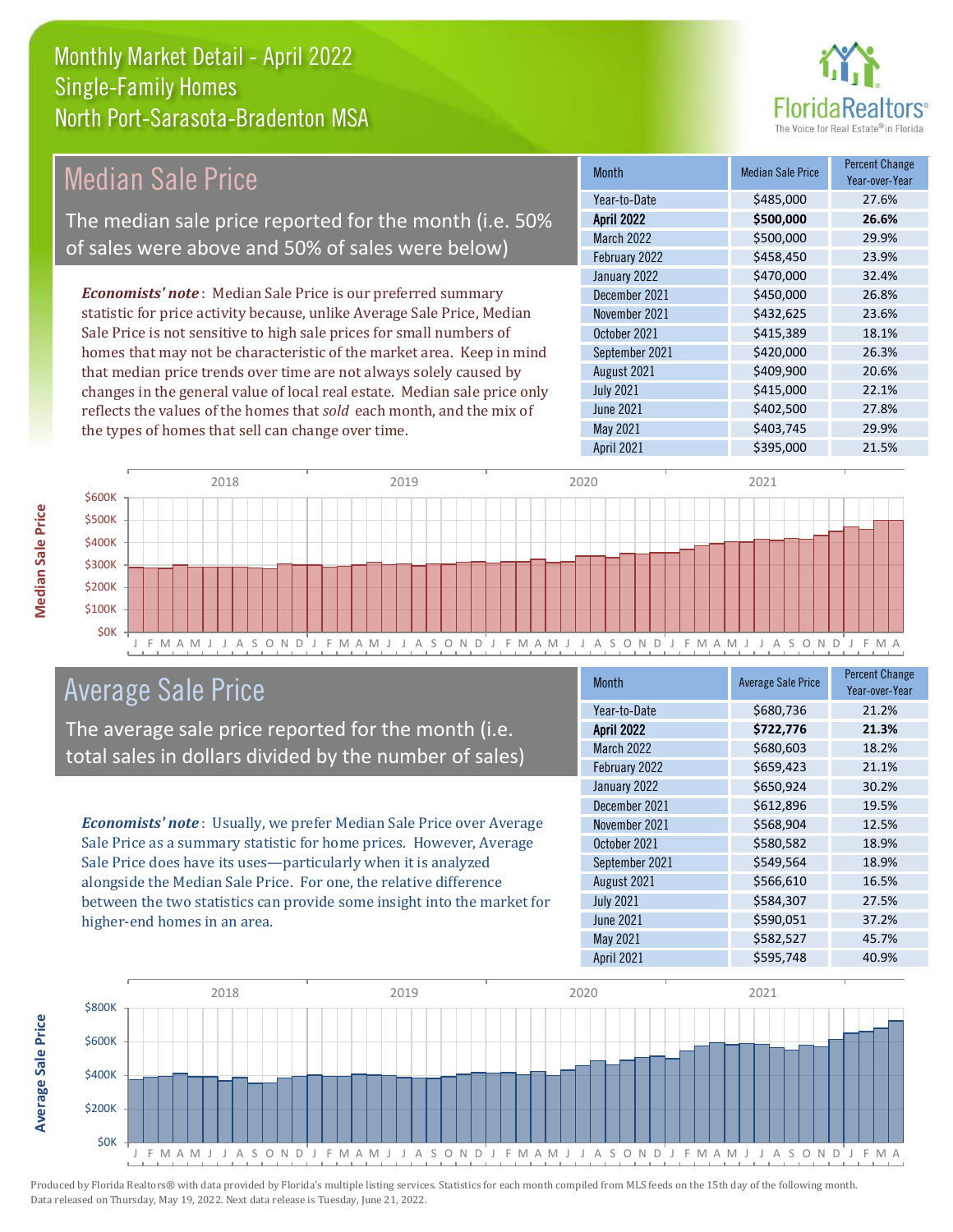

#### Month Median Sale Price Percent Change Year-over-Year April 2022 **\$500,000 26.6%** Year-to-Date \$485,000 27.6% September 2021 \$420,000 26.3% March 2022 **\$500,000** \$500,000 February 2022 \$458,450 23.9% November 2021 \$432,625 23.6% October 2021 \$415,389 18.1% January 2022 **\$470,000** \$470,000 32.4% December 2021 \$450,000 26.8% *Economists' note* : Median Sale Price is our preferred summary statistic for price activity because, unlike Average Sale Price, Median Sale Price is not sensitive to high sale prices for small numbers of homes that may not be characteristic of the market area. Keep in mind Median Sale Price The median sale price reported for the month (i.e. 50% of sales were above and 50% of sales were below)

that median price trends over time are not always solely caused by changes in the general value of local real estate. Median sale price only reflects the values of the homes that *sold* each month, and the mix of the types of homes that sell can change over time.

| Year-to-Date      | \$485,000 | 27.6% |
|-------------------|-----------|-------|
| <b>April 2022</b> | \$500,000 | 26.6% |
| <b>March 2022</b> | \$500,000 | 29.9% |
| February 2022     | \$458,450 | 23.9% |
| January 2022      | \$470,000 | 32.4% |
| December 2021     | \$450,000 | 26.8% |
| November 2021     | \$432,625 | 23.6% |
| October 2021      | \$415,389 | 18.1% |
| September 2021    | \$420,000 | 26.3% |
| August 2021       | \$409,900 | 20.6% |
| <b>July 2021</b>  | \$415,000 | 22.1% |
| June 2021         | \$402,500 | 27.8% |
| May 2021          | \$403,745 | 29.9% |
| <b>April 2021</b> | \$395,000 | 21.5% |



#### Average Sale Price

The average sale price reported for the month (i.e. total sales in dollars divided by the number of sales)

*Economists' note* : Usually, we prefer Median Sale Price over Average Sale Price as a summary statistic for home prices. However, Average Sale Price does have its uses—particularly when it is analyzed alongside the Median Sale Price. For one, the relative difference between the two statistics can provide some insight into the market for higher-end homes in an area.

| <b>Month</b>      | <b>Average Sale Price</b> | <b>Percent Change</b><br>Year-over-Year |
|-------------------|---------------------------|-----------------------------------------|
| Year-to-Date      | \$680,736                 | 21.2%                                   |
| <b>April 2022</b> | \$722,776                 | 21.3%                                   |
| <b>March 2022</b> | \$680,603                 | 18.2%                                   |
| February 2022     | \$659,423                 | 21.1%                                   |
| January 2022      | \$650,924                 | 30.2%                                   |
| December 2021     | \$612,896                 | 19.5%                                   |
| November 2021     | \$568,904                 | 12.5%                                   |
| October 2021      | \$580,582                 | 18.9%                                   |
| September 2021    | \$549,564                 | 18.9%                                   |
| August 2021       | \$566,610                 | 16.5%                                   |
| <b>July 2021</b>  | \$584,307                 | 27.5%                                   |
| <b>June 2021</b>  | \$590,051                 | 37.2%                                   |
| May 2021          | \$582,527                 | 45.7%                                   |
| <b>April 2021</b> | \$595,748                 | 40.9%                                   |



Produced by Florida Realtors® with data provided by Florida's multiple listing services. Statistics for each month compiled from MLS feeds on the 15th day of the following month. Data released on Thursday, May 19, 2022. Next data release is Tuesday, June 21, 2022.

**Average Sale Price**

**Average Sale Price**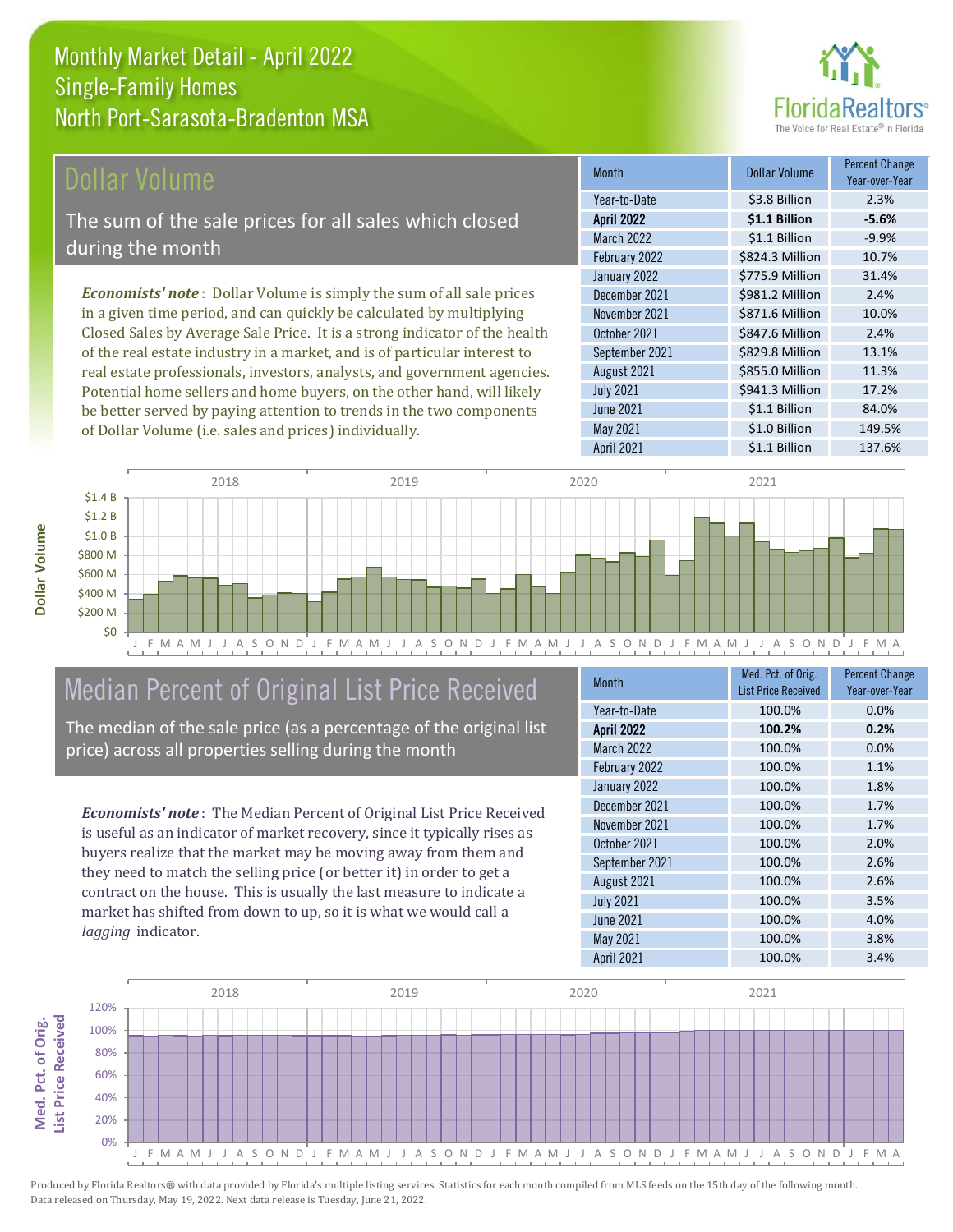#### Dollar Volume

The sum of the sale prices for all sales which closed during the month

*Economists' note* : Dollar Volume is simply the sum of all sale prices in a given time period, and can quickly be calculated by multiplying Closed Sales by Average Sale Price. It is a strong indicator of the health of the real estate industry in a market, and is of particular interest to real estate professionals, investors, analysts, and government agencies. Potential home sellers and home buyers, on the other hand, will likely be better served by paying attention to trends in the two components of Dollar Volume (i.e. sales and prices) individually.

| <b>Month</b>      | <b>Dollar Volume</b> | Percent Change<br>Year-over-Year |
|-------------------|----------------------|----------------------------------|
| Year-to-Date      | \$3.8 Billion        | 2.3%                             |
| <b>April 2022</b> | \$1.1 Billion        | $-5.6%$                          |
| March 2022        | \$1.1 Billion        | $-9.9%$                          |
| February 2022     | \$824.3 Million      | 10.7%                            |
| January 2022      | \$775.9 Million      | 31.4%                            |
| December 2021     | \$981.2 Million      | 2.4%                             |
| November 2021     | \$871.6 Million      | 10.0%                            |
| October 2021      | \$847.6 Million      | 2.4%                             |
| September 2021    | \$829.8 Million      | 13.1%                            |
| August 2021       | \$855.0 Million      | 11.3%                            |
| <b>July 2021</b>  | \$941.3 Million      | 17.2%                            |
| <b>June 2021</b>  | \$1.1 Billion        | 84.0%                            |
| May 2021          | \$1.0 Billion        | 149.5%                           |
| April 2021        | \$1.1 Billion        | 137.6%                           |



#### Median Percent of Original List Price Received

The median of the sale price (as a percentage of the original list price) across all properties selling during the month

*Economists' note* : The Median Percent of Original List Price Received is useful as an indicator of market recovery, since it typically rises as buyers realize that the market may be moving away from them and they need to match the selling price (or better it) in order to get a contract on the house. This is usually the last measure to indicate a market has shifted from down to up, so it is what we would call a *lagging* indicator.

| <b>Month</b>      | Med. Pct. of Orig.         | <b>Percent Change</b> |  |
|-------------------|----------------------------|-----------------------|--|
|                   | <b>List Price Received</b> | Year-over-Year        |  |
| Year-to-Date      | 100.0%                     | 0.0%                  |  |
| <b>April 2022</b> | 100.2%                     | 0.2%                  |  |
| <b>March 2022</b> | 100.0%                     | 0.0%                  |  |
| February 2022     | 100.0%                     | 1.1%                  |  |
| January 2022      | 100.0%                     | 1.8%                  |  |
| December 2021     | 100.0%                     | 1.7%                  |  |
| November 2021     | 100.0%                     | 1.7%                  |  |
| October 2021      | 100.0%                     | 2.0%                  |  |
| September 2021    | 100.0%                     | 2.6%                  |  |
| August 2021       | 100.0%                     | 2.6%                  |  |
| <b>July 2021</b>  | 100.0%                     | 3.5%                  |  |
| <b>June 2021</b>  | 100.0%                     | 4.0%                  |  |
| May 2021          | 100.0%                     | 3.8%                  |  |
| <b>April 2021</b> | 100.0%                     | 3.4%                  |  |



Produced by Florida Realtors® with data provided by Florida's multiple listing services. Statistics for each month compiled from MLS feeds on the 15th day of the following month. Data released on Thursday, May 19, 2022. Next data release is Tuesday, June 21, 2022.

Med. Pct. of Orig.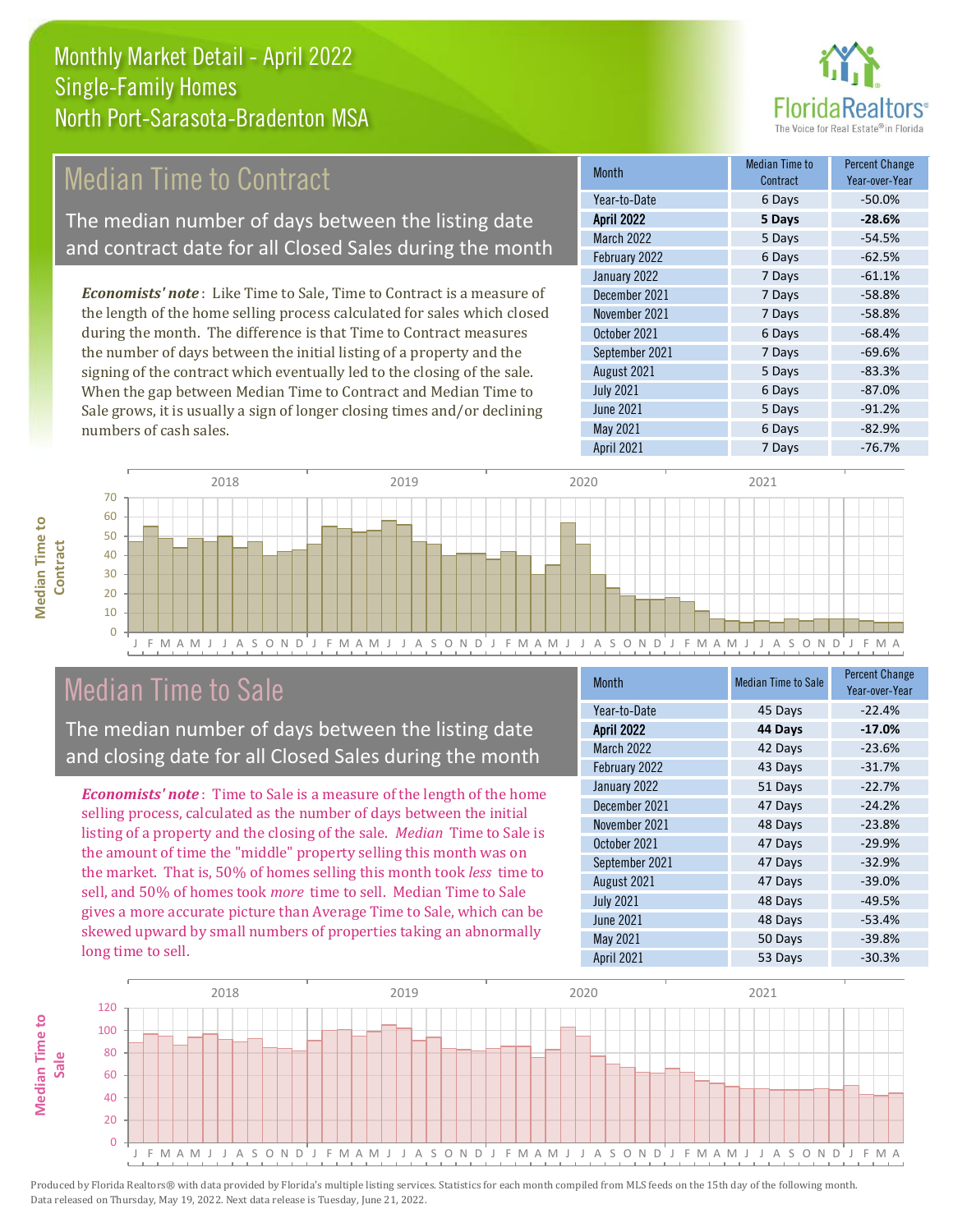

#### Median Time to Contract

The median number of days between the listing date and contract date for all Closed Sales during the month

*Economists' note* : Like Time to Sale, Time to Contract is a measure of the length of the home selling process calculated for sales which closed during the month. The difference is that Time to Contract measures the number of days between the initial listing of a property and the signing of the contract which eventually led to the closing of the sale. When the gap between Median Time to Contract and Median Time to Sale grows, it is usually a sign of longer closing times and/or declining numbers of cash sales.

| <b>Month</b>      | <b>Median Time to</b><br>Contract | <b>Percent Change</b><br>Year-over-Year |
|-------------------|-----------------------------------|-----------------------------------------|
| Year-to-Date      | 6 Days                            | $-50.0%$                                |
| <b>April 2022</b> | 5 Days                            | $-28.6%$                                |
| March 2022        | 5 Days                            | $-54.5%$                                |
| February 2022     | 6 Days                            | $-62.5%$                                |
| January 2022      | 7 Days                            | $-61.1%$                                |
| December 2021     | 7 Days                            | $-58.8%$                                |
| November 2021     | 7 Days                            | $-58.8%$                                |
| October 2021      | 6 Days                            | $-68.4%$                                |
| September 2021    | 7 Days                            | $-69.6%$                                |
| August 2021       | 5 Days                            | $-83.3%$                                |
| <b>July 2021</b>  | 6 Days                            | $-87.0%$                                |
| <b>June 2021</b>  | 5 Days                            | $-91.2%$                                |
| May 2021          | 6 Days                            | $-82.9%$                                |
| April 2021        | 7 Days                            | $-76.7%$                                |



#### Median Time to Sale

**Median Time to** 

**Median Time to** 

The median number of days between the listing date and closing date for all Closed Sales during the month

*Economists' note* : Time to Sale is a measure of the length of the home selling process, calculated as the number of days between the initial listing of a property and the closing of the sale. *Median* Time to Sale is the amount of time the "middle" property selling this month was on the market. That is, 50% of homes selling this month took *less* time to sell, and 50% of homes took *more* time to sell. Median Time to Sale gives a more accurate picture than Average Time to Sale, which can be skewed upward by small numbers of properties taking an abnormally long time to sell.

| <b>Month</b>      | <b>Median Time to Sale</b> | <b>Percent Change</b><br>Year-over-Year |
|-------------------|----------------------------|-----------------------------------------|
| Year-to-Date      | 45 Days                    | $-22.4%$                                |
| <b>April 2022</b> | 44 Days                    | $-17.0%$                                |
| <b>March 2022</b> | 42 Days                    | $-23.6%$                                |
| February 2022     | 43 Days                    | $-31.7%$                                |
| January 2022      | 51 Days                    | $-22.7%$                                |
| December 2021     | 47 Days                    | $-24.2%$                                |
| November 2021     | 48 Days                    | $-23.8%$                                |
| October 2021      | 47 Days                    | $-29.9%$                                |
| September 2021    | 47 Days                    | $-32.9%$                                |
| August 2021       | 47 Days                    | $-39.0%$                                |
| <b>July 2021</b>  | 48 Days                    | $-49.5%$                                |
| <b>June 2021</b>  | 48 Days                    | $-53.4%$                                |
| May 2021          | 50 Days                    | $-39.8%$                                |
| <b>April 2021</b> | 53 Days                    | $-30.3%$                                |

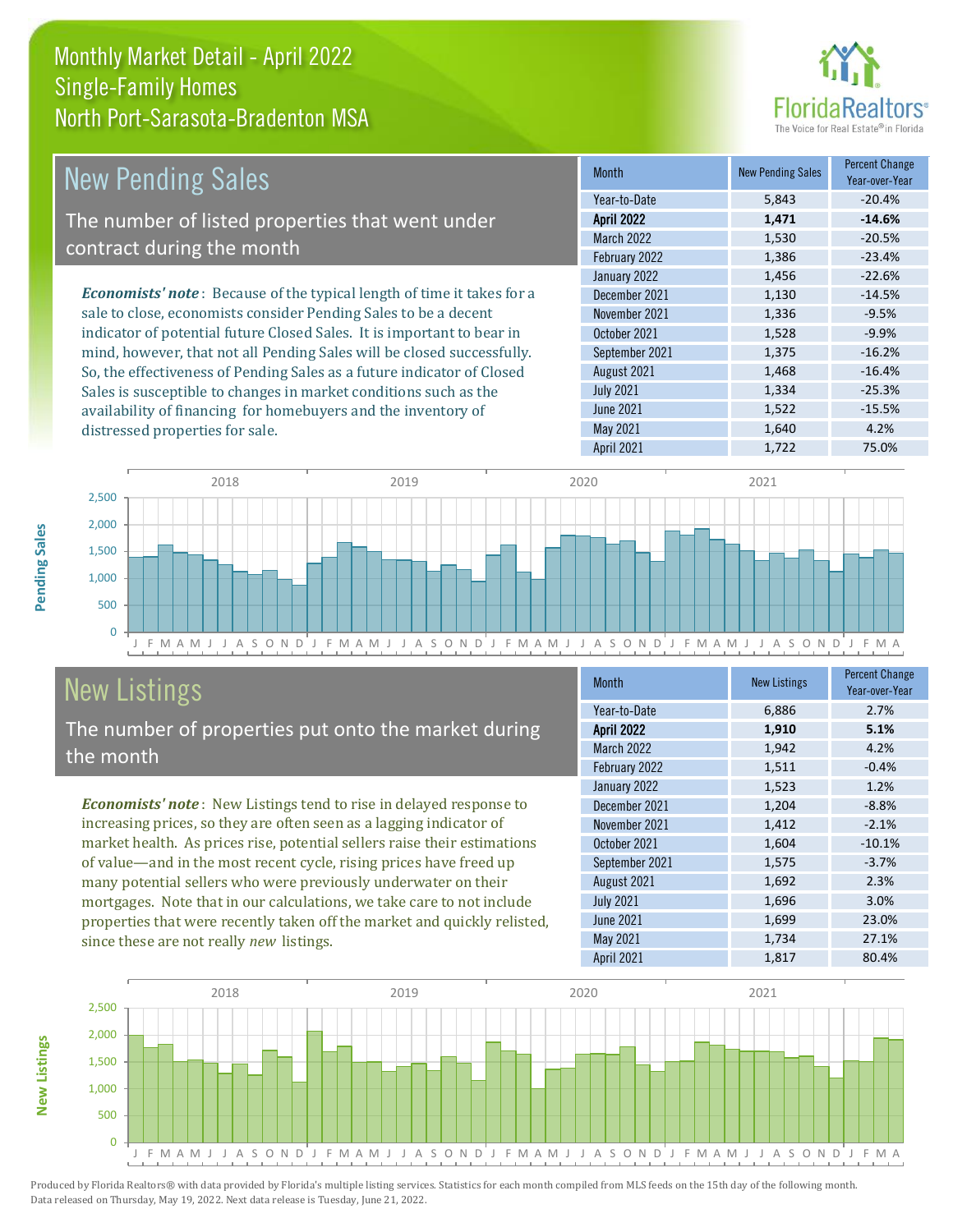

| <b>New Pending Sales</b>                                                       | <b>Month</b>      | <b>New Pending Sales</b> | <b>Percent Change</b><br>Year-over-Year |
|--------------------------------------------------------------------------------|-------------------|--------------------------|-----------------------------------------|
|                                                                                | Year-to-Date      | 5,843                    | $-20.4%$                                |
| The number of listed properties that went under                                | <b>April 2022</b> | 1,471                    | $-14.6%$                                |
|                                                                                | <b>March 2022</b> | 1,530                    | $-20.5%$                                |
| contract during the month                                                      | February 2022     | 1,386                    | $-23.4%$                                |
|                                                                                | January 2022      | 1,456                    | $-22.6%$                                |
| <b>Economists' note</b> : Because of the typical length of time it takes for a | December 2021     | 1,130                    | $-14.5%$                                |
| sale to close, economists consider Pending Sales to be a decent                | November 2021     | 1,336                    | $-9.5%$                                 |
| indicator of potential future Closed Sales. It is important to bear in         | October 2021      | 1,528                    | $-9.9%$                                 |
| mind, however, that not all Pending Sales will be closed successfully.         | September 2021    | 1,375                    | $-16.2%$                                |
| So, the effectiveness of Pending Sales as a future indicator of Closed         | August 2021       | 1,468                    | $-16.4%$                                |
| Sales is susceptible to changes in market conditions such as the               | <b>July 2021</b>  | 1,334                    | $-25.3%$                                |



### New Listings

**New Listings**

**Pending Sales**

Pending Sales

distressed properties for sale.

The number of properties put onto the market during the month

availability of financing for homebuyers and the inventory of

*Economists' note* : New Listings tend to rise in delayed response to increasing prices, so they are often seen as a lagging indicator of market health. As prices rise, potential sellers raise their estimations of value—and in the most recent cycle, rising prices have freed up many potential sellers who were previously underwater on their mortgages. Note that in our calculations, we take care to not include properties that were recently taken off the market and quickly relisted, since these are not really *new* listings.

| Month             | <b>New Listings</b> | <b>Percent Change</b><br>Year-over-Year |
|-------------------|---------------------|-----------------------------------------|
| Year-to-Date      | 6,886               | 2.7%                                    |
| <b>April 2022</b> | 1,910               | 5.1%                                    |
| <b>March 2022</b> | 1,942               | 4.2%                                    |
| February 2022     | 1,511               | $-0.4%$                                 |
| January 2022      | 1,523               | 1.2%                                    |
| December 2021     | 1,204               | $-8.8%$                                 |
| November 2021     | 1,412               | $-2.1%$                                 |
| October 2021      | 1,604               | $-10.1%$                                |
| September 2021    | 1,575               | $-3.7%$                                 |
| August 2021       | 1,692               | 2.3%                                    |
| <b>July 2021</b>  | 1,696               | 3.0%                                    |
| <b>June 2021</b>  | 1,699               | 23.0%                                   |
| May 2021          | 1,734               | 27.1%                                   |
| April 2021        | 1,817               | 80.4%                                   |

June 2021 1,522 -15.5%<br>May 2021 1,640 4.2% May 2021 1,640 1,640 4.2%

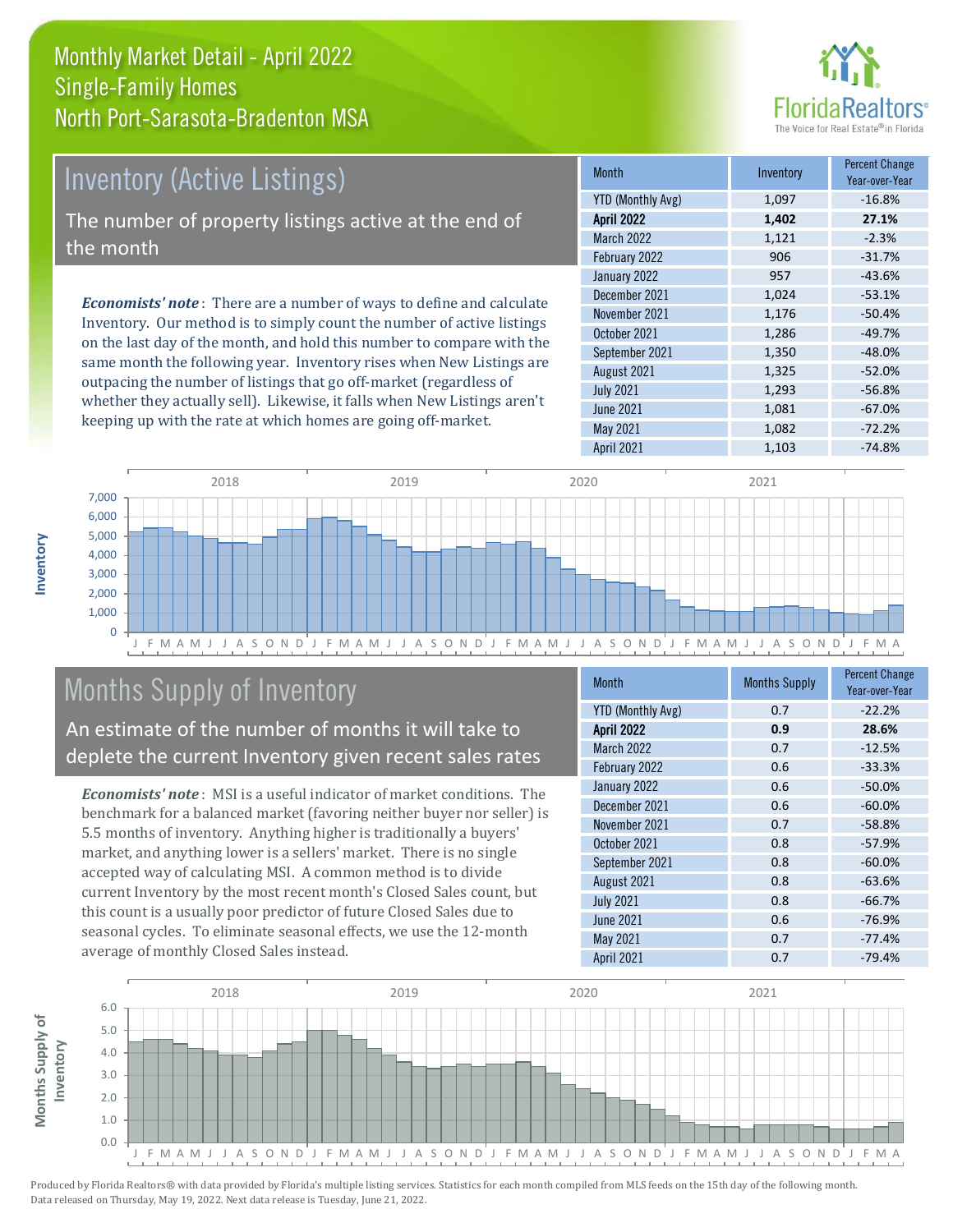#### Monthly Market Detail - April 2022 North Port-Sarasota-Bradenton MSA Single-Family Homes



## Inventory (Active Listings)

The number of property listings active at the end of the month

*Economists' note* : There are a number of ways to define and calculate Inventory. Our method is to simply count the number of active listings on the last day of the month, and hold this number to compare with the same month the following year. Inventory rises when New Listings are outpacing the number of listings that go off-market (regardless of whether they actually sell). Likewise, it falls when New Listings aren't keeping up with the rate at which homes are going off-market.

| <b>Month</b>             | Inventory | <b>Percent Change</b><br>Year-over-Year |
|--------------------------|-----------|-----------------------------------------|
| <b>YTD (Monthly Avg)</b> | 1,097     | $-16.8%$                                |
| <b>April 2022</b>        | 1,402     | 27.1%                                   |
| <b>March 2022</b>        | 1,121     | $-2.3%$                                 |
| February 2022            | 906       | $-31.7%$                                |
| January 2022             | 957       | $-43.6%$                                |
| December 2021            | 1,024     | $-53.1%$                                |
| November 2021            | 1,176     | $-50.4%$                                |
| October 2021             | 1,286     | $-49.7%$                                |
| September 2021           | 1,350     | $-48.0%$                                |
| August 2021              | 1,325     | $-52.0%$                                |
| <b>July 2021</b>         | 1,293     | $-56.8%$                                |
| <b>June 2021</b>         | 1,081     | $-67.0%$                                |
| <b>May 2021</b>          | 1,082     | $-72.2%$                                |
| <b>April 2021</b>        | 1,103     | $-74.8%$                                |



#### Months Supply of Inventory

An estimate of the number of months it will take to deplete the current Inventory given recent sales rates

*Economists' note* : MSI is a useful indicator of market conditions. The benchmark for a balanced market (favoring neither buyer nor seller) is 5.5 months of inventory. Anything higher is traditionally a buyers' market, and anything lower is a sellers' market. There is no single accepted way of calculating MSI. A common method is to divide current Inventory by the most recent month's Closed Sales count, but this count is a usually poor predictor of future Closed Sales due to seasonal cycles. To eliminate seasonal effects, we use the 12-month average of monthly Closed Sales instead.

| Month                    | <b>Months Supply</b> | <b>Percent Change</b><br>Year-over-Year |
|--------------------------|----------------------|-----------------------------------------|
| <b>YTD (Monthly Avg)</b> | 0.7                  | $-22.2%$                                |
| <b>April 2022</b>        | 0.9                  | 28.6%                                   |
| <b>March 2022</b>        | 0.7                  | $-12.5%$                                |
| February 2022            | 0.6                  | $-33.3%$                                |
| January 2022             | 0.6                  | $-50.0%$                                |
| December 2021            | 0.6                  | $-60.0%$                                |
| November 2021            | 0.7                  | $-58.8%$                                |
| October 2021             | 0.8                  | $-57.9%$                                |
| September 2021           | 0.8                  | $-60.0%$                                |
| August 2021              | 0.8                  | $-63.6%$                                |
| <b>July 2021</b>         | 0.8                  | $-66.7%$                                |
| <b>June 2021</b>         | 0.6                  | $-76.9%$                                |
| May 2021                 | 0.7                  | $-77.4%$                                |
| <b>April 2021</b>        | 0.7                  | $-79.4%$                                |

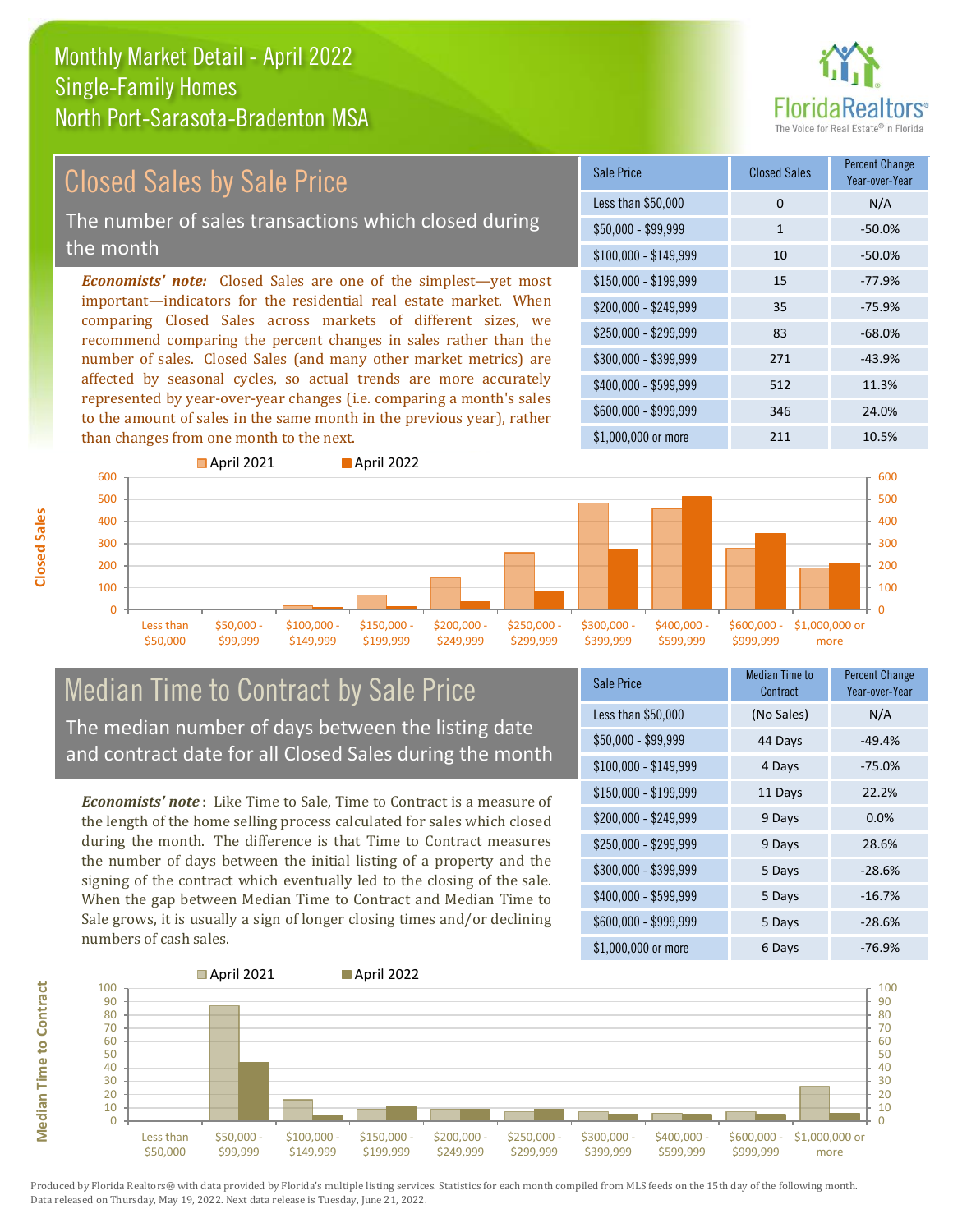# **FloridaRealtors**

#### Closed Sales by Sale Price

The number of sales transactions which closed during the month

*Economists' note:* Closed Sales are one of the simplest—yet most important—indicators for the residential real estate market. When comparing Closed Sales across markets of different sizes, we recommend comparing the percent changes in sales rather than the number of sales. Closed Sales (and many other market metrics) are affected by seasonal cycles, so actual trends are more accurately represented by year-over-year changes (i.e. comparing a month's sales to the amount of sales in the same month in the previous year), rather than changes from one month to the next.





#### Median Time to Contract by Sale Price The median number of days between the listing date and contract date for all Closed Sales during the month

*Economists' note* : Like Time to Sale, Time to Contract is a measure of the length of the home selling process calculated for sales which closed during the month. The difference is that Time to Contract measures the number of days between the initial listing of a property and the signing of the contract which eventually led to the closing of the sale. When the gap between Median Time to Contract and Median Time to Sale grows, it is usually a sign of longer closing times and/or declining numbers of cash sales.

| Sale Price            | Median Time to<br>Contract | <b>Percent Change</b><br>Year-over-Year |
|-----------------------|----------------------------|-----------------------------------------|
| Less than \$50,000    | (No Sales)                 | N/A                                     |
| \$50,000 - \$99,999   | 44 Days                    | $-49.4%$                                |
| $$100,000 - $149,999$ | 4 Days                     | $-75.0%$                                |
| $$150,000 - $199,999$ | 11 Days                    | 22.2%                                   |
| \$200,000 - \$249,999 | 9 Days                     | 0.0%                                    |
| \$250,000 - \$299,999 | 9 Days                     | 28.6%                                   |
| \$300,000 - \$399,999 | 5 Days                     | $-28.6%$                                |
| \$400,000 - \$599,999 | 5 Days                     | $-16.7%$                                |
| \$600,000 - \$999,999 | 5 Days                     | $-28.6%$                                |
| \$1,000,000 or more   | 6 Days                     | $-76.9%$                                |



**Median Time to Contract Median Time to Contract**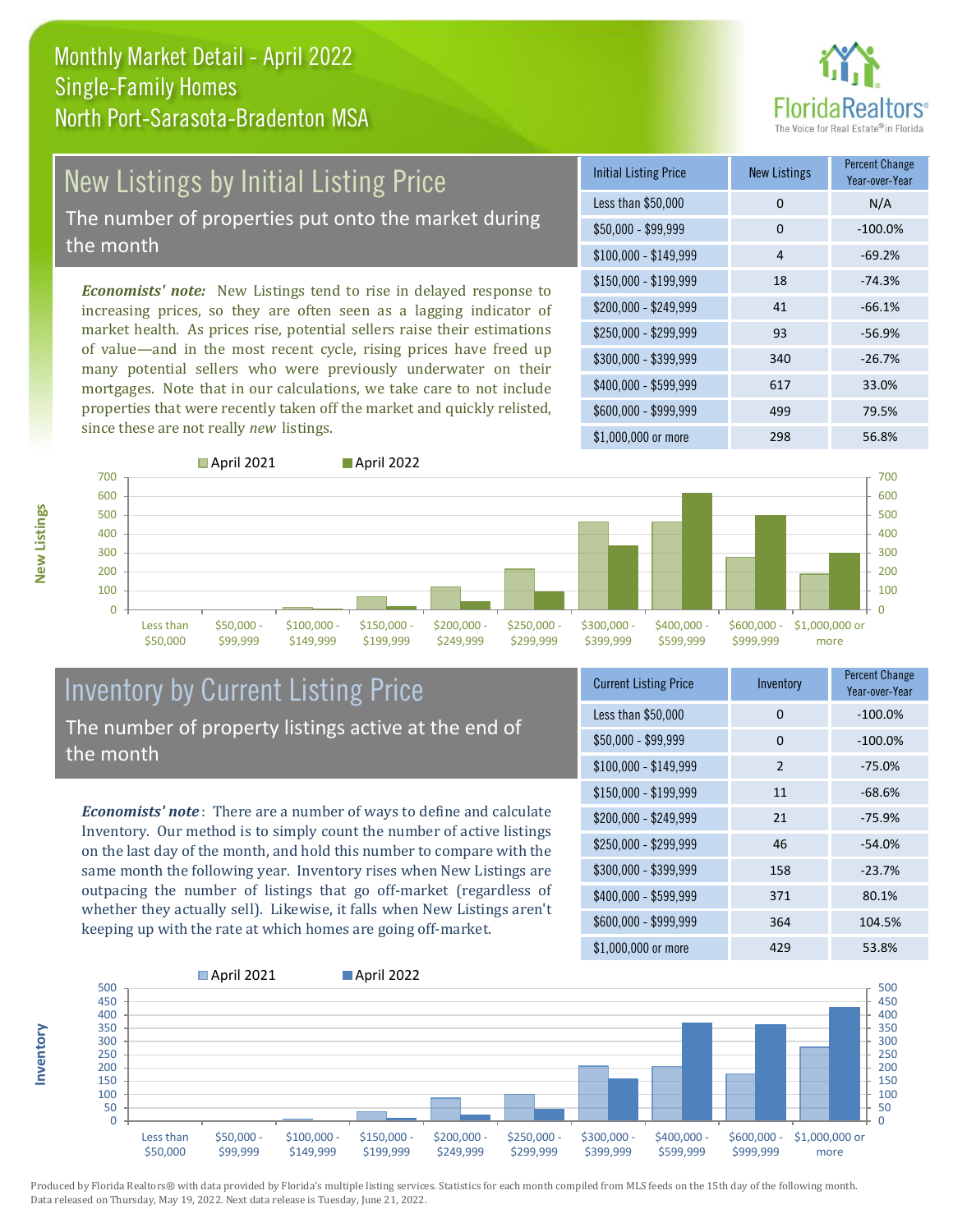

## New Listings by Initial Listing Price

The number of properties put onto the market during the month

*Economists' note:* New Listings tend to rise in delayed response to increasing prices, so they are often seen as a lagging indicator of market health. As prices rise, potential sellers raise their estimations of value—and in the most recent cycle, rising prices have freed up many potential sellers who were previously underwater on their mortgages. Note that in our calculations, we take care to not include properties that were recently taken off the market and quickly relisted, since these are not really *new* listings.





#### Inventory by Current Listing Price The number of property listings active at the end of the month

*Economists' note* : There are a number of ways to define and calculate Inventory. Our method is to simply count the number of active listings on the last day of the month, and hold this number to compare with the same month the following year. Inventory rises when New Listings are outpacing the number of listings that go off-market (regardless of whether they actually sell). Likewise, it falls when New Listings aren't keeping up with the rate at which homes are going off-market.

| <b>Current Listing Price</b> | Inventory | Percent Change<br>Year-over-Year |
|------------------------------|-----------|----------------------------------|
| Less than \$50,000           | 0         | $-100.0%$                        |
| $$50,000 - $99,999$          | 0         | $-100.0%$                        |
| $$100,000 - $149,999$        | 2         | $-75.0%$                         |
| $$150,000 - $199,999$        | 11        | $-68.6%$                         |
| \$200,000 - \$249,999        | 21        | $-75.9%$                         |
| \$250,000 - \$299,999        | 46        | $-54.0%$                         |
| \$300,000 - \$399,999        | 158       | $-23.7%$                         |
| \$400,000 - \$599,999        | 371       | 80.1%                            |
| \$600,000 - \$999,999        | 364       | 104.5%                           |
| \$1,000,000 or more          | 429       | 53.8%                            |



**New Listings**

**Inventory**